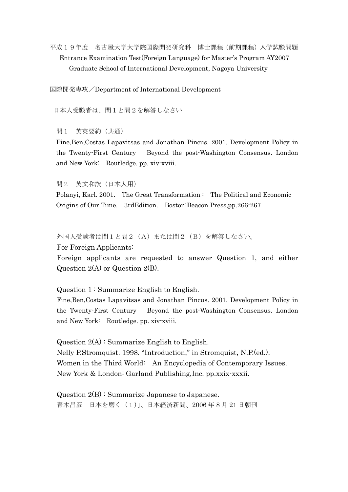平成19年度 名古屋大学大学院国際開発研究科 博士課程(前期課程)入学試験問題 Entrance Examination Test(Foreign Language) for Master's Program AY2007 Graduate School of International Development, Nagoya University

国際開発専攻/Department of International Development

日本人受験者は、問1と問2を解答しなさい

問1 英英要約(共通)

Fine,Ben,Costas Lapavitsas and Jonathan Pincus. 2001. Development Policy in the Twenty-First Century Beyond the post-Washington Consensus. London and New York: Routledge. pp. xiv-xviii.

問2 英文和訳(日本人用)

Polanyi, Karl. 2001. The Great Transformation : The Political and Economic Origins of Our Time. 3rdEdition. Boston:Beacon Press,pp.266-267

外国人受験者は問1と問2 (A)または問2 (B)を解答しなさい。

For Foreign Applicants:

 Foreign applicants are requested to answer Question 1, and either Question 2(A) or Question 2(B).

Question 1 : Summarize English to English.

 Fine,Ben,Costas Lapavitsas and Jonathan Pincus. 2001. Development Policy in the Twenty-First Century Beyond the post-Washington Consensus. London and New York: Routledge. pp. xiv-xviii.

 Question 2(A) : Summarize English to English. Nelly P.Stromquist. 1998. "Introduction," in Stromquist, N.P.(ed.). Women in the Third World: An Encyclopedia of Contemporary Issues. New York & London: Garland Publishing,Inc. pp.xxix-xxxii.

Question  $2(B)$ : Summarize Japanese to Japanese. 青木昌彦「日本を磨く(1)」、日本経済新聞、2006 年 8 月 21 日朝刊